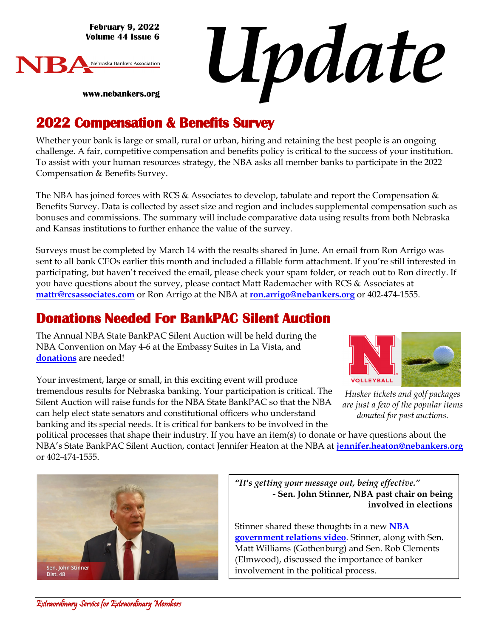**February 9, 2022 Volume 44 Issue 6**



*Update*

**www.nebankers.org**

### **2022 Compensation & Benefits Survey**

Whether your bank is large or small, rural or urban, hiring and retaining the best people is an ongoing challenge. A fair, competitive compensation and benefits policy is critical to the success of your institution. To assist with your human resources strategy, the NBA asks all member banks to participate in the 2022 Compensation & Benefits Survey.

The NBA has joined forces with RCS & Associates to develop, tabulate and report the Compensation  $\&$ Benefits Survey. Data is collected by asset size and region and includes supplemental compensation such as bonuses and commissions. The summary will include comparative data using results from both Nebraska and Kansas institutions to further enhance the value of the survey.

Surveys must be completed by March 14 with the results shared in June. An email from Ron Arrigo was sent to all bank CEOs earlier this month and included a fillable form attachment. If you're still interested in participating, but haven't received the email, please check your spam folder, or reach out to Ron directly. If you have questions about the survey, please contact Matt Rademacher with RCS & Associates at **mattr@rcsassociates.com** or Ron Arrigo at the NBA at **ron.arrigo@nebankers.org** or 402-474-1555.

#### **Donations Needed For BankPAC Silent Auction**

The Annual NBA State BankPAC Silent Auction will be held during the NBA Convention on May 4-6 at the Embassy Suites in La Vista, and **[donations](http://www.nebankers.org/uploads/8/1/6/4/81640974/donation_form2-.pdf)** are needed!

Your investment, large or small, in this exciting event will produce tremendous results for Nebraska banking. Your participation is critical. The Silent Auction will raise funds for the NBA State BankPAC so that the NBA can help elect state senators and constitutional officers who understand banking and its special needs. It is critical for bankers to be involved in the



*Husker tickets and golf packages are just a few of the popular items donated for past auctions.*

political processes that shape their industry. If you have an item(s) to donate or have questions about the NBA's State BankPAC Silent Auction, contact Jennifer Heaton at the NBA at **[jennifer.heaton@nebankers.org](mailto:jennifer.heaton@nebankers.org)** or 402-474-1555.



*"It's getting your message out, being effective."* **- Sen. John Stinner, NBA past chair on being involved in elections**

Stinner shared these thoughts in a new **[NBA](https://www.youtube.com/watch?v=p7Xdhobxteg) [government relations](https://www.youtube.com/watch?v=p7Xdhobxteg) video**. Stinner, along with Sen. Matt Williams (Gothenburg) and Sen. Rob Clements (Elmwood), discussed the importance of banker involvement in the political process.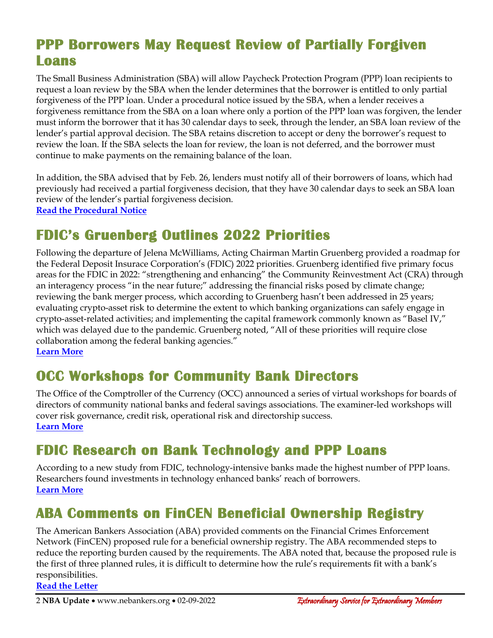### **PPP Borrowers May Request Review of Partially Forgiven Loans**

The Small Business Administration (SBA) will allow Paycheck Protection Program (PPP) loan recipients to request a loan review by the SBA when the lender determines that the borrower is entitled to only partial forgiveness of the PPP loan. Under a procedural notice issued by the SBA, when a lender receives a forgiveness remittance from the SBA on a loan where only a portion of the PPP loan was forgiven, the lender must inform the borrower that it has 30 calendar days to seek, through the lender, an SBA loan review of the lender's partial approval decision. The SBA retains discretion to accept or deny the borrower's request to review the loan. If the SBA selects the loan for review, the loan is not deferred, and the borrower must continue to make payments on the remaining balance of the loan.

In addition, the SBA advised that by Feb. 26, lenders must notify all of their borrowers of loans, which had previously had received a partial forgiveness decision, that they have 30 calendar days to seek an SBA loan review of the lender's partial forgiveness decision.

**[Read the Procedural Notice](https://www.sba.gov/document/procedural-notice-5000-827666-sba-loan-reviews-paycheck-protection-program-lender-partial-approval-forgiveness-decisions)**

## **FDIC's Gruenberg Outlines 2022 Priorities**

Following the departure of Jelena McWilliams, Acting Chairman Martin Gruenberg provided a roadmap for the Federal Deposit Insurace Corporation's (FDIC) 2022 priorities. Gruenberg identified five primary focus areas for the FDIC in 2022: "strengthening and enhancing" the Community Reinvestment Act (CRA) through an interagency process "in the near future;" addressing the financial risks posed by climate change; reviewing the bank merger process, which according to Gruenberg hasn't been addressed in 25 years; evaluating crypto-asset risk to determine the extent to which banking organizations can safely engage in crypto-asset-related activities; and implementing the capital framework commonly known as "Basel IV," which was delayed due to the pandemic. Gruenberg noted, "All of these priorities will require close collaboration among the federal banking agencies." **[Learn More](https://www.fdic.gov/news/press-releases/2022/pr22015.html)**

### **OCC Workshops for Community Bank Directors**

The Office of the Comptroller of the Currency (OCC) announced a series of virtual workshops for boards of directors of community national banks and federal savings associations. The examiner-led workshops will cover risk governance, credit risk, operational risk and directorship success. **[Learn More](https://occ.gov/news-issuances/news-releases/2022/nr-occ-2022-11.html)**

### **FDIC Research on Bank Technology and PPP Loans**

According to a new study from FDIC, technology-intensive banks made the highest number of PPP loans. Researchers found investments in technology enhanced banks' reach of borrowers. **[Learn More](https://www.fdic.gov/analysis/cfr/working-papers/2022/cfr-wp2022-02.pdf)**

## **ABA Comments on FinCEN Beneficial Ownership Registry**

The American Bankers Association (ABA) provided comments on the Financial Crimes Enforcement Network (FinCEN) proposed rule for a beneficial ownership registry. The ABA recommended steps to reduce the reporting burden caused by the requirements. The ABA noted that, because the proposed rule is the first of three planned rules, it is difficult to determine how the rule's requirements fit with a bank's responsibilities.

**[Read the Letter](https://www.aba.com/advocacy/policy-analysis/letter-to-fincen-on-boi-2022?)**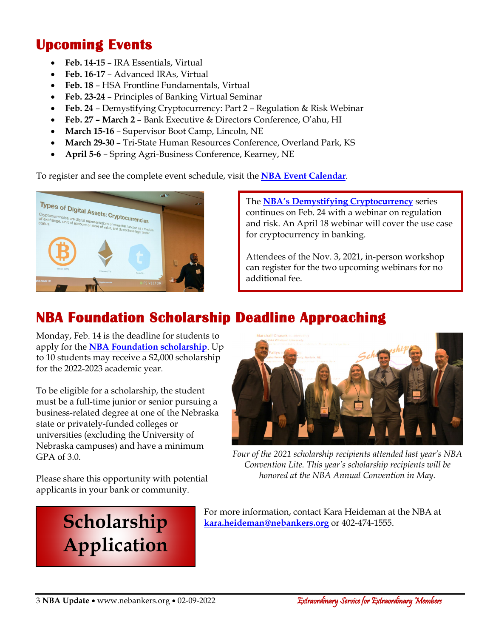### **Upcoming Events**

- **Feb. 14-15** IRA Essentials, Virtual
- **Feb. 16-17** Advanced IRAs, Virtual
- **Feb. 18** HSA Frontline Fundamentals, Virtual
- **Feb. 23-24** Principles of Banking Virtual Seminar
- **Feb. 24** Demystifying Cryptocurrency: Part 2 Regulation & Risk Webinar
- **Feb. 27 – March 2** Bank Executive & Directors Conference, O'ahu, HI
- **March 15-16** Supervisor Boot Camp, Lincoln, NE
- **March 29-30** Tri-State Human Resources Conference, Overland Park, KS
- **April 5-6** Spring Agri-Business Conference, Kearney, NE

To register and see the complete event schedule, visit the **[NBA Event Calendar](https://web.nebankers.org/events)**.



The **[NBA's Demystifying Cryptocurrency](https://web.nebankers.org/events/DemystifyingCryptocurrency%20Part%202%20%20Regulation%20%20Risk%20Webinar-11759/details)** series continues on Feb. 24 with a webinar on regulation and risk. An April 18 webinar will cover the use case for cryptocurrency in banking.

Attendees of the Nov. 3, 2021, in-person workshop can register for the two upcoming webinars for no additional fee.

## **NBA Foundation Scholarship Deadline Approaching**

Monday, Feb. 14 is the deadline for students to apply for the **NBA [Foundation scholarship](https://www.nebankers.org/foundation-scholarship-app.html)**. Up to 10 students may receive a \$2,000 scholarship for the 2022-2023 academic year.

To be eligible for a scholarship, the student must be a full-time junior or senior pursuing a business-related degree at one of the Nebraska state or privately-funded colleges or universities (excluding the University of Nebraska campuses) and have a minimum GPA of 3.0.

Please share this opportunity with potential applicants in your bank or community.

# **[Scholarship](https://www.nebankers.org/foundation-scholarship-app.html)  Application**



*Four of the 2021 scholarship recipients attended last year's NBA Convention Lite. This year's scholarship recipients will be honored at the NBA Annual Convention in May.*

For more information, contact Kara Heideman at the NBA at **[kara.heideman@nebankers.org](mailto:kara.heideman@nebankers.org)** or 402-474-1555.